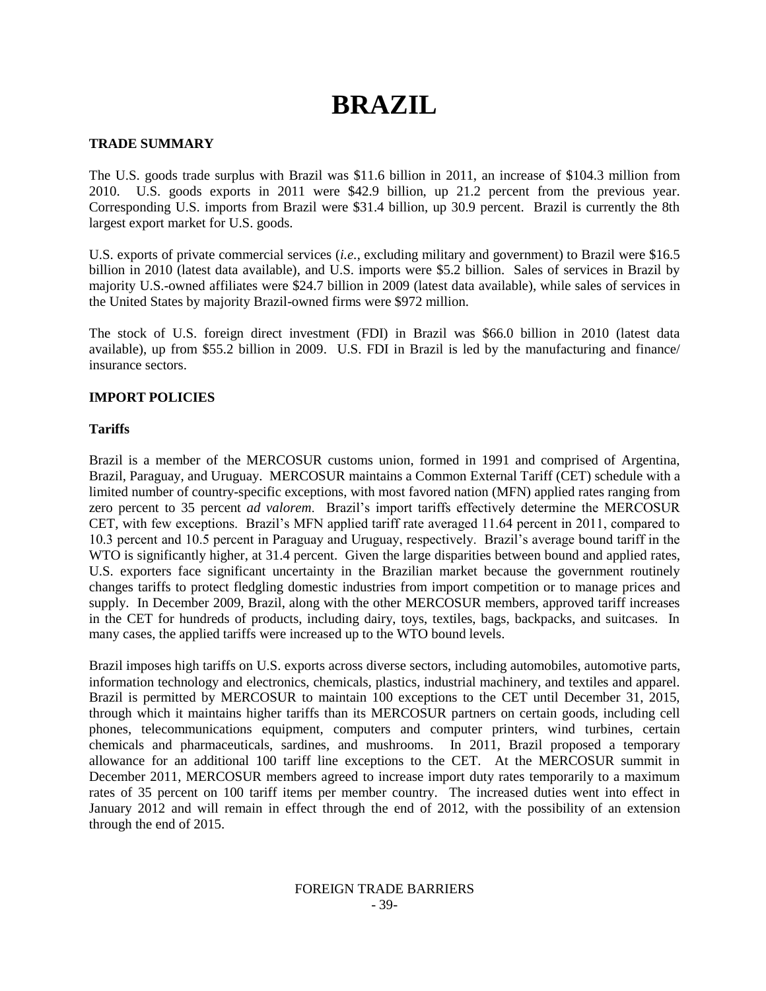# **BRAZIL**

## **TRADE SUMMARY**

The U.S. goods trade surplus with Brazil was \$11.6 billion in 2011, an increase of \$104.3 million from 2010. U.S. goods exports in 2011 were \$42.9 billion, up 21.2 percent from the previous year. Corresponding U.S. imports from Brazil were \$31.4 billion, up 30.9 percent. Brazil is currently the 8th largest export market for U.S. goods.

U.S. exports of private commercial services (*i.e.*, excluding military and government) to Brazil were \$16.5 billion in 2010 (latest data available), and U.S. imports were \$5.2 billion. Sales of services in Brazil by majority U.S.-owned affiliates were \$24.7 billion in 2009 (latest data available), while sales of services in the United States by majority Brazil-owned firms were \$972 million.

The stock of U.S. foreign direct investment (FDI) in Brazil was \$66.0 billion in 2010 (latest data available), up from \$55.2 billion in 2009. U.S. FDI in Brazil is led by the manufacturing and finance/ insurance sectors.

## **IMPORT POLICIES**

## **Tariffs**

Brazil is a member of the MERCOSUR customs union, formed in 1991 and comprised of Argentina, Brazil, Paraguay, and Uruguay. MERCOSUR maintains a Common External Tariff (CET) schedule with a limited number of country-specific exceptions, with most favored nation (MFN) applied rates ranging from zero percent to 35 percent *ad valorem*. Brazil"s import tariffs effectively determine the MERCOSUR CET, with few exceptions. Brazil"s MFN applied tariff rate averaged 11.64 percent in 2011, compared to 10.3 percent and 10.5 percent in Paraguay and Uruguay, respectively. Brazil"s average bound tariff in the WTO is significantly higher, at 31.4 percent. Given the large disparities between bound and applied rates, U.S. exporters face significant uncertainty in the Brazilian market because the government routinely changes tariffs to protect fledgling domestic industries from import competition or to manage prices and supply. In December 2009, Brazil, along with the other MERCOSUR members, approved tariff increases in the CET for hundreds of products, including dairy, toys, textiles, bags, backpacks, and suitcases. In many cases, the applied tariffs were increased up to the WTO bound levels.

Brazil imposes high tariffs on U.S. exports across diverse sectors, including automobiles, automotive parts, information technology and electronics, chemicals, plastics, industrial machinery, and textiles and apparel. Brazil is permitted by MERCOSUR to maintain 100 exceptions to the CET until December 31, 2015, through which it maintains higher tariffs than its MERCOSUR partners on certain goods, including cell phones, telecommunications equipment, computers and computer printers, wind turbines, certain chemicals and pharmaceuticals, sardines, and mushrooms. In 2011, Brazil proposed a temporary allowance for an additional 100 tariff line exceptions to the CET. At the MERCOSUR summit in December 2011, MERCOSUR members agreed to increase import duty rates temporarily to a maximum rates of 35 percent on 100 tariff items per member country. The increased duties went into effect in January 2012 and will remain in effect through the end of 2012, with the possibility of an extension through the end of 2015.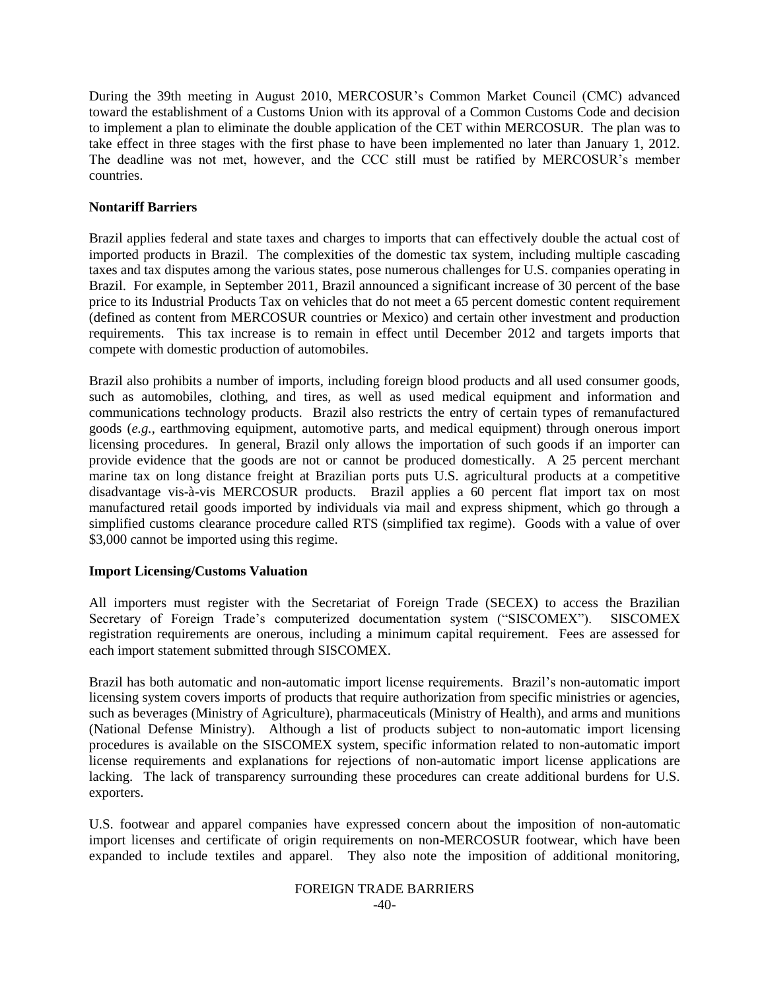During the 39th meeting in August 2010, MERCOSUR"s Common Market Council (CMC) advanced toward the establishment of a Customs Union with its approval of a Common Customs Code and decision to implement a plan to eliminate the double application of the CET within MERCOSUR. The plan was to take effect in three stages with the first phase to have been implemented no later than January 1, 2012. The deadline was not met, however, and the CCC still must be ratified by MERCOSUR"s member countries.

## **Nontariff Barriers**

Brazil applies federal and state taxes and charges to imports that can effectively double the actual cost of imported products in Brazil. The complexities of the domestic tax system, including multiple cascading taxes and tax disputes among the various states, pose numerous challenges for U.S. companies operating in Brazil. For example, in September 2011, Brazil announced a significant increase of 30 percent of the base price to its Industrial Products Tax on vehicles that do not meet a 65 percent domestic content requirement (defined as content from MERCOSUR countries or Mexico) and certain other investment and production requirements. This tax increase is to remain in effect until December 2012 and targets imports that compete with domestic production of automobiles.

Brazil also prohibits a number of imports, including foreign blood products and all used consumer goods, such as automobiles, clothing, and tires, as well as used medical equipment and information and communications technology products. Brazil also restricts the entry of certain types of remanufactured goods (*e.g.*, earthmoving equipment, automotive parts, and medical equipment) through onerous import licensing procedures. In general, Brazil only allows the importation of such goods if an importer can provide evidence that the goods are not or cannot be produced domestically. A 25 percent merchant marine tax on long distance freight at Brazilian ports puts U.S. agricultural products at a competitive disadvantage vis-à-vis MERCOSUR products. Brazil applies a 60 percent flat import tax on most manufactured retail goods imported by individuals via mail and express shipment, which go through a simplified customs clearance procedure called RTS (simplified tax regime). Goods with a value of over \$3,000 cannot be imported using this regime.

## **Import Licensing/Customs Valuation**

All importers must register with the Secretariat of Foreign Trade (SECEX) to access the Brazilian Secretary of Foreign Trade"s computerized documentation system ("SISCOMEX"). SISCOMEX registration requirements are onerous, including a minimum capital requirement. Fees are assessed for each import statement submitted through SISCOMEX.

Brazil has both automatic and non-automatic import license requirements. Brazil"s non-automatic import licensing system covers imports of products that require authorization from specific ministries or agencies, such as beverages (Ministry of Agriculture), pharmaceuticals (Ministry of Health), and arms and munitions (National Defense Ministry). Although a list of products subject to non-automatic import licensing procedures is available on the SISCOMEX system, specific information related to non-automatic import license requirements and explanations for rejections of non-automatic import license applications are lacking. The lack of transparency surrounding these procedures can create additional burdens for U.S. exporters.

U.S. footwear and apparel companies have expressed concern about the imposition of non-automatic import licenses and certificate of origin requirements on non-MERCOSUR footwear, which have been expanded to include textiles and apparel. They also note the imposition of additional monitoring,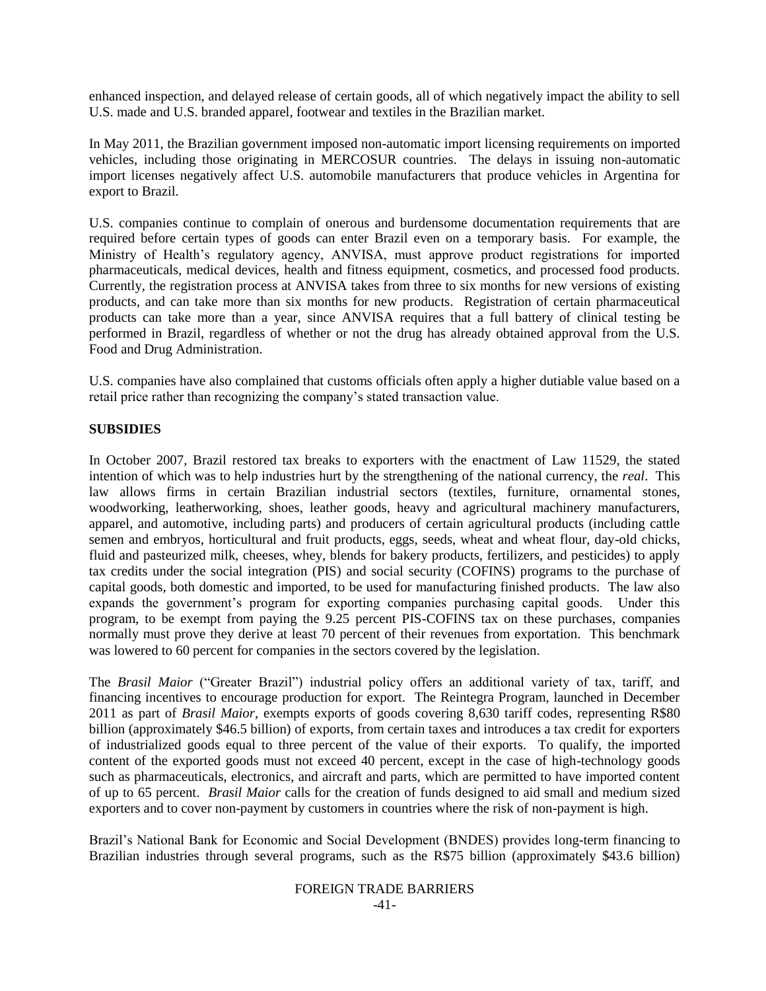enhanced inspection, and delayed release of certain goods, all of which negatively impact the ability to sell U.S. made and U.S. branded apparel, footwear and textiles in the Brazilian market.

In May 2011, the Brazilian government imposed non-automatic import licensing requirements on imported vehicles, including those originating in MERCOSUR countries. The delays in issuing non-automatic import licenses negatively affect U.S. automobile manufacturers that produce vehicles in Argentina for export to Brazil.

U.S. companies continue to complain of onerous and burdensome documentation requirements that are required before certain types of goods can enter Brazil even on a temporary basis. For example, the Ministry of Health"s regulatory agency, ANVISA, must approve product registrations for imported pharmaceuticals, medical devices, health and fitness equipment, cosmetics, and processed food products. Currently, the registration process at ANVISA takes from three to six months for new versions of existing products, and can take more than six months for new products. Registration of certain pharmaceutical products can take more than a year, since ANVISA requires that a full battery of clinical testing be performed in Brazil, regardless of whether or not the drug has already obtained approval from the U.S. Food and Drug Administration.

U.S. companies have also complained that customs officials often apply a higher dutiable value based on a retail price rather than recognizing the company"s stated transaction value.

#### **SUBSIDIES**

In October 2007, Brazil restored tax breaks to exporters with the enactment of Law 11529, the stated intention of which was to help industries hurt by the strengthening of the national currency, the *real*. This law allows firms in certain Brazilian industrial sectors (textiles, furniture, ornamental stones, woodworking, leatherworking, shoes, leather goods, heavy and agricultural machinery manufacturers, apparel, and automotive, including parts) and producers of certain agricultural products (including cattle semen and embryos, horticultural and fruit products, eggs, seeds, wheat and wheat flour, day-old chicks, fluid and pasteurized milk, cheeses, whey, blends for bakery products, fertilizers, and pesticides) to apply tax credits under the social integration (PIS) and social security (COFINS) programs to the purchase of capital goods, both domestic and imported, to be used for manufacturing finished products. The law also expands the government's program for exporting companies purchasing capital goods. Under this program, to be exempt from paying the 9.25 percent PIS-COFINS tax on these purchases, companies normally must prove they derive at least 70 percent of their revenues from exportation. This benchmark was lowered to 60 percent for companies in the sectors covered by the legislation.

The *Brasil Maior* ("Greater Brazil") industrial policy offers an additional variety of tax, tariff, and financing incentives to encourage production for export. The Reintegra Program, launched in December 2011 as part of *Brasil Maior*, exempts exports of goods covering 8,630 tariff codes, representing R\$80 billion (approximately \$46.5 billion) of exports, from certain taxes and introduces a tax credit for exporters of industrialized goods equal to three percent of the value of their exports. To qualify, the imported content of the exported goods must not exceed 40 percent, except in the case of high-technology goods such as pharmaceuticals, electronics, and aircraft and parts, which are permitted to have imported content of up to 65 percent. *Brasil Maior* calls for the creation of funds designed to aid small and medium sized exporters and to cover non-payment by customers in countries where the risk of non-payment is high.

Brazil"s National Bank for Economic and Social Development (BNDES) provides long-term financing to Brazilian industries through several programs, such as the R\$75 billion (approximately \$43.6 billion)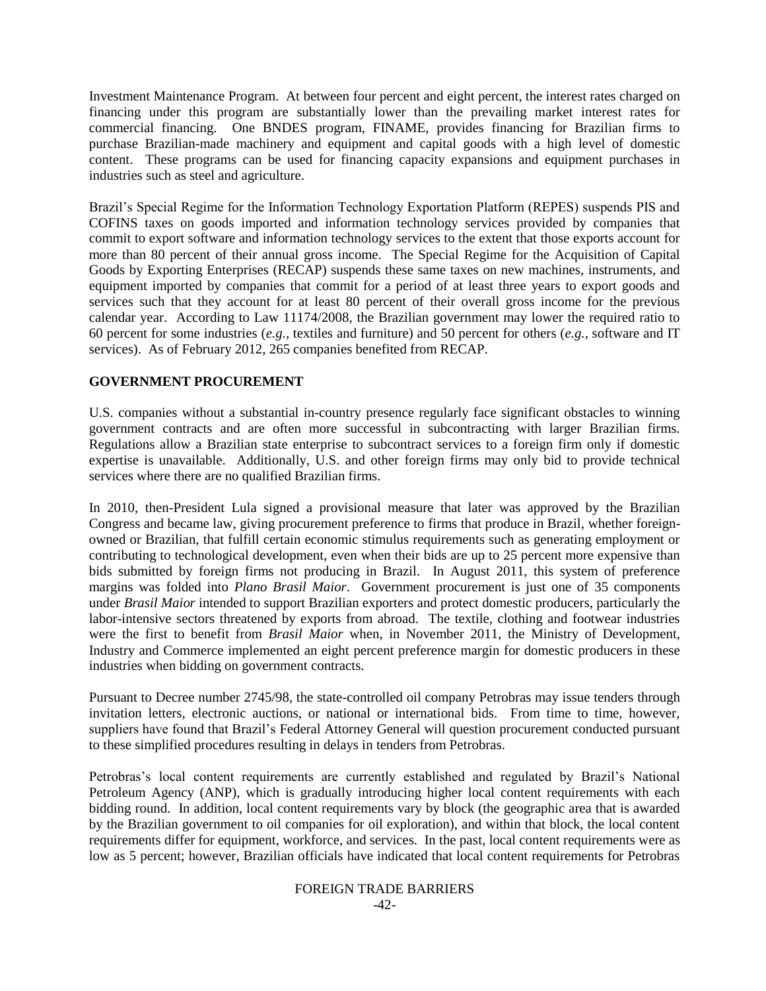Investment Maintenance Program. At between four percent and eight percent, the interest rates charged on financing under this program are substantially lower than the prevailing market interest rates for commercial financing. One BNDES program, FINAME, provides financing for Brazilian firms to purchase Brazilian-made machinery and equipment and capital goods with a high level of domestic content. These programs can be used for financing capacity expansions and equipment purchases in industries such as steel and agriculture.

Brazil"s Special Regime for the Information Technology Exportation Platform (REPES) suspends PIS and COFINS taxes on goods imported and information technology services provided by companies that commit to export software and information technology services to the extent that those exports account for more than 80 percent of their annual gross income. The Special Regime for the Acquisition of Capital Goods by Exporting Enterprises (RECAP) suspends these same taxes on new machines, instruments, and equipment imported by companies that commit for a period of at least three years to export goods and services such that they account for at least 80 percent of their overall gross income for the previous calendar year. According to Law 11174/2008, the Brazilian government may lower the required ratio to 60 percent for some industries (*e.g.,* textiles and furniture) and 50 percent for others (*e.g.,* software and IT services). As of February 2012, 265 companies benefited from RECAP.

## **GOVERNMENT PROCUREMENT**

U.S. companies without a substantial in-country presence regularly face significant obstacles to winning government contracts and are often more successful in subcontracting with larger Brazilian firms. Regulations allow a Brazilian state enterprise to subcontract services to a foreign firm only if domestic expertise is unavailable. Additionally, U.S. and other foreign firms may only bid to provide technical services where there are no qualified Brazilian firms.

In 2010, then-President Lula signed a provisional measure that later was approved by the Brazilian Congress and became law, giving procurement preference to firms that produce in Brazil, whether foreignowned or Brazilian, that fulfill certain economic stimulus requirements such as generating employment or contributing to technological development, even when their bids are up to 25 percent more expensive than bids submitted by foreign firms not producing in Brazil. In August 2011, this system of preference margins was folded into *Plano Brasil Maior*. Government procurement is just one of 35 components under *Brasil Maior* intended to support Brazilian exporters and protect domestic producers, particularly the labor-intensive sectors threatened by exports from abroad. The textile, clothing and footwear industries were the first to benefit from *Brasil Maior* when, in November 2011, the Ministry of Development, Industry and Commerce implemented an eight percent preference margin for domestic producers in these industries when bidding on government contracts.

Pursuant to Decree number 2745/98, the state-controlled oil company Petrobras may issue tenders through invitation letters, electronic auctions, or national or international bids. From time to time, however, suppliers have found that Brazil's Federal Attorney General will question procurement conducted pursuant to these simplified procedures resulting in delays in tenders from Petrobras.

Petrobras's local content requirements are currently established and regulated by Brazil's National Petroleum Agency (ANP), which is gradually introducing higher local content requirements with each bidding round. In addition, local content requirements vary by block (the geographic area that is awarded by the Brazilian government to oil companies for oil exploration), and within that block, the local content requirements differ for equipment, workforce, and services. In the past, local content requirements were as low as 5 percent; however, Brazilian officials have indicated that local content requirements for Petrobras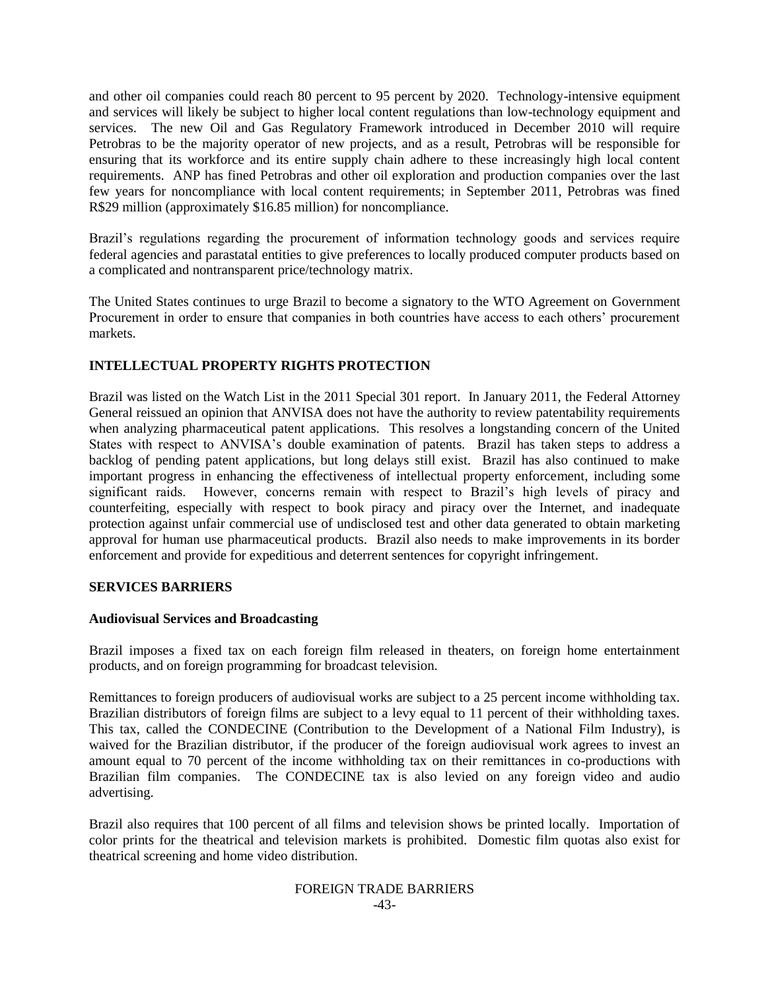and other oil companies could reach 80 percent to 95 percent by 2020. Technology-intensive equipment and services will likely be subject to higher local content regulations than low-technology equipment and services. The new Oil and Gas Regulatory Framework introduced in December 2010 will require Petrobras to be the majority operator of new projects, and as a result, Petrobras will be responsible for ensuring that its workforce and its entire supply chain adhere to these increasingly high local content requirements. ANP has fined Petrobras and other oil exploration and production companies over the last few years for noncompliance with local content requirements; in September 2011, Petrobras was fined R\$29 million (approximately \$16.85 million) for noncompliance.

Brazil"s regulations regarding the procurement of information technology goods and services require federal agencies and parastatal entities to give preferences to locally produced computer products based on a complicated and nontransparent price/technology matrix.

The United States continues to urge Brazil to become a signatory to the WTO Agreement on Government Procurement in order to ensure that companies in both countries have access to each others" procurement markets.

## **INTELLECTUAL PROPERTY RIGHTS PROTECTION**

Brazil was listed on the Watch List in the 2011 Special 301 report. In January 2011, the Federal Attorney General reissued an opinion that ANVISA does not have the authority to review patentability requirements when analyzing pharmaceutical patent applications. This resolves a longstanding concern of the United States with respect to ANVISA's double examination of patents. Brazil has taken steps to address a backlog of pending patent applications, but long delays still exist. Brazil has also continued to make important progress in enhancing the effectiveness of intellectual property enforcement, including some significant raids. However, concerns remain with respect to Brazil's high levels of piracy and counterfeiting, especially with respect to book piracy and piracy over the Internet, and inadequate protection against unfair commercial use of undisclosed test and other data generated to obtain marketing approval for human use pharmaceutical products. Brazil also needs to make improvements in its border enforcement and provide for expeditious and deterrent sentences for copyright infringement.

#### **SERVICES BARRIERS**

### **Audiovisual Services and Broadcasting**

Brazil imposes a fixed tax on each foreign film released in theaters, on foreign home entertainment products, and on foreign programming for broadcast television.

Remittances to foreign producers of audiovisual works are subject to a 25 percent income withholding tax. Brazilian distributors of foreign films are subject to a levy equal to 11 percent of their withholding taxes. This tax, called the CONDECINE (Contribution to the Development of a National Film Industry), is waived for the Brazilian distributor, if the producer of the foreign audiovisual work agrees to invest an amount equal to 70 percent of the income withholding tax on their remittances in co-productions with Brazilian film companies. The CONDECINE tax is also levied on any foreign video and audio advertising.

Brazil also requires that 100 percent of all films and television shows be printed locally. Importation of color prints for the theatrical and television markets is prohibited. Domestic film quotas also exist for theatrical screening and home video distribution.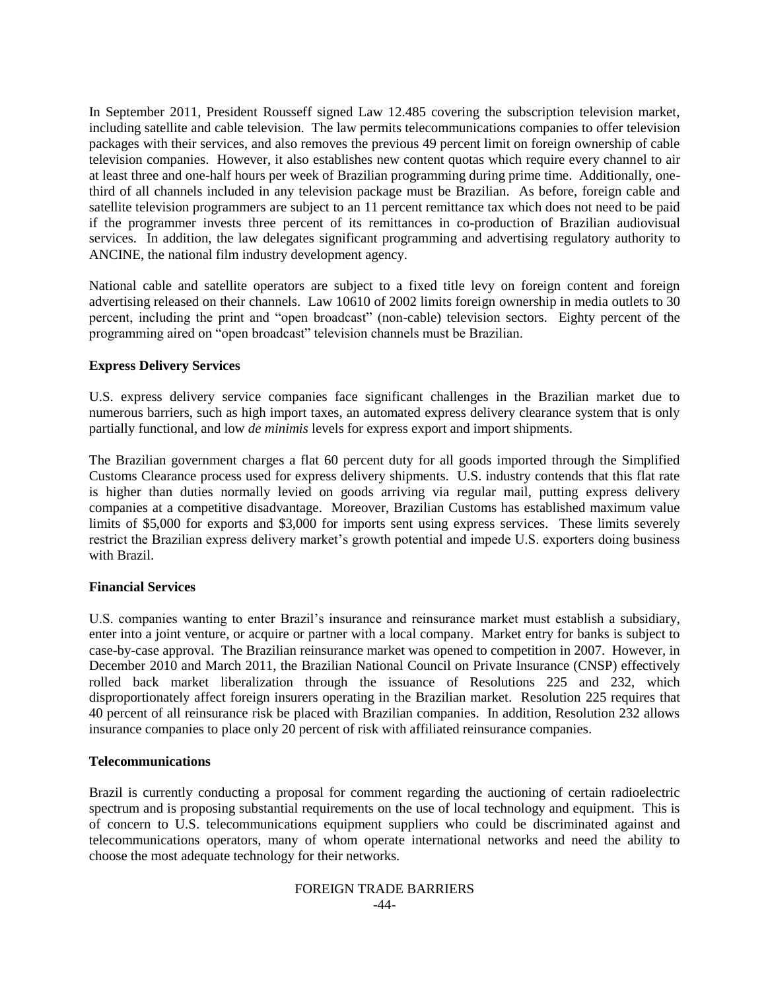In September 2011, President Rousseff signed Law 12.485 covering the subscription television market, including satellite and cable television. The law permits telecommunications companies to offer television packages with their services, and also removes the previous 49 percent limit on foreign ownership of cable television companies. However, it also establishes new content quotas which require every channel to air at least three and one-half hours per week of Brazilian programming during prime time. Additionally, onethird of all channels included in any television package must be Brazilian. As before, foreign cable and satellite television programmers are subject to an 11 percent remittance tax which does not need to be paid if the programmer invests three percent of its remittances in co-production of Brazilian audiovisual services. In addition, the law delegates significant programming and advertising regulatory authority to ANCINE, the national film industry development agency.

National cable and satellite operators are subject to a fixed title levy on foreign content and foreign advertising released on their channels. Law 10610 of 2002 limits foreign ownership in media outlets to 30 percent, including the print and "open broadcast" (non-cable) television sectors. Eighty percent of the programming aired on "open broadcast" television channels must be Brazilian.

## **Express Delivery Services**

U.S. express delivery service companies face significant challenges in the Brazilian market due to numerous barriers, such as high import taxes, an automated express delivery clearance system that is only partially functional, and low *de minimis* levels for express export and import shipments.

The Brazilian government charges a flat 60 percent duty for all goods imported through the Simplified Customs Clearance process used for express delivery shipments. U.S. industry contends that this flat rate is higher than duties normally levied on goods arriving via regular mail, putting express delivery companies at a competitive disadvantage. Moreover, Brazilian Customs has established maximum value limits of \$5,000 for exports and \$3,000 for imports sent using express services. These limits severely restrict the Brazilian express delivery market's growth potential and impede U.S. exporters doing business with Brazil.

## **Financial Services**

U.S. companies wanting to enter Brazil's insurance and reinsurance market must establish a subsidiary, enter into a joint venture, or acquire or partner with a local company. Market entry for banks is subject to case-by-case approval. The Brazilian reinsurance market was opened to competition in 2007. However, in December 2010 and March 2011, the Brazilian National Council on Private Insurance (CNSP) effectively rolled back market liberalization through the issuance of Resolutions 225 and 232, which disproportionately affect foreign insurers operating in the Brazilian market. Resolution 225 requires that 40 percent of all reinsurance risk be placed with Brazilian companies. In addition, Resolution 232 allows insurance companies to place only 20 percent of risk with affiliated reinsurance companies.

## **Telecommunications**

Brazil is currently conducting a proposal for comment regarding the auctioning of certain radioelectric spectrum and is proposing substantial requirements on the use of local technology and equipment. This is of concern to U.S. telecommunications equipment suppliers who could be discriminated against and telecommunications operators, many of whom operate international networks and need the ability to choose the most adequate technology for their networks.